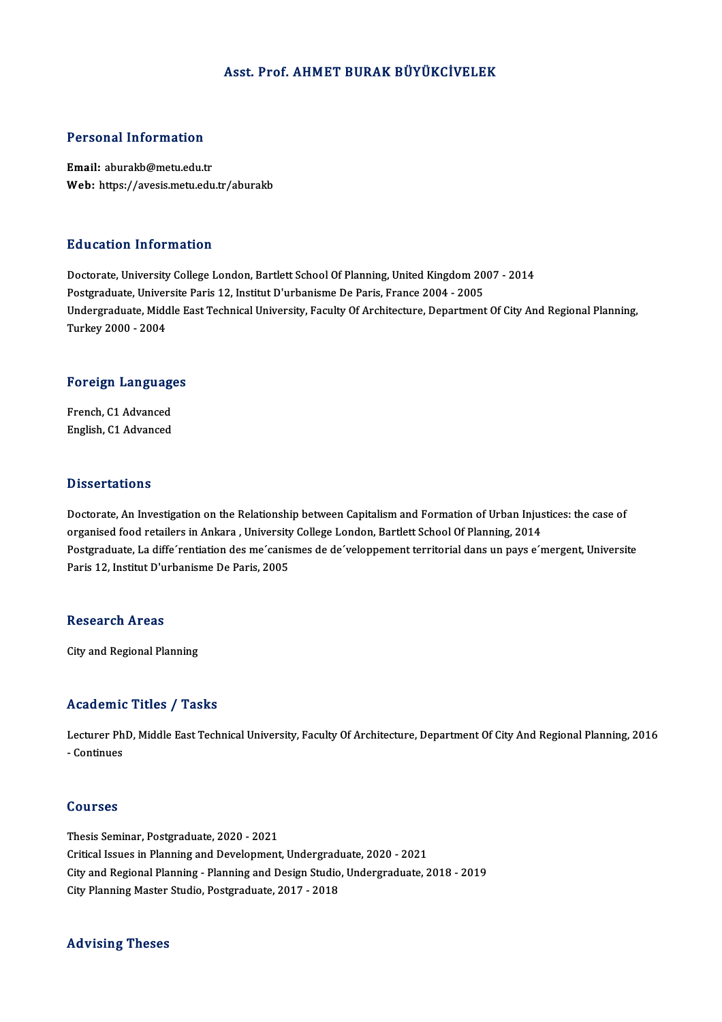#### Asst. Prof. AHMET BURAK BÜYÜKCİVELEK

#### Personal Information

Email: aburakb@metu.edu.tr Web: https://avesis.metu.edu.tr/aburakb

#### Education Information

Education Information<br>Doctorate, University College London, Bartlett School Of Planning, United Kingdom 2007 - 2014<br>Postareduate Universite Paris 12, Institut D'urbanisme De Paris, France 2004 - 2005 Putted Carlon Internation<br>Doctorate, University College London, Bartlett School Of Planning, United Kingdom 20<br>Postgraduate, Universite Paris 12, Institut D'urbanisme De Paris, France 2004 - 2005<br>Undergraduate Middle Fast Doctorate, University College London, Bartlett School Of Planning, United Kingdom 2007 - 2014<br>Postgraduate, Universite Paris 12, Institut D'urbanisme De Paris, France 2004 - 2005<br>Undergraduate, Middle East Technical Univer Postgraduate, Univer<br>Undergraduate, Midc<br>Turkey 2000 - 2004

# 1urkey 2000 - 2004<br>Foreign Languages

**Foreign Language<br>French, C1 Advanced<br>English, C1 Advanced** French, C1 Advanced<br>English, C1 Advanced

#### **Dissertations**

Doctorate, An Investigation on the Relationship between Capitalism and Formation of Urban Injustices: the case of organised food retailers in Ankara , University College London, Bartlett School Of Planning, 2014 Doctorate, An Investigation on the Relationship between Capitalism and Formation of Urban Injustices: the case of<br>organised food retailers in Ankara , University College London, Bartlett School Of Planning, 2014<br>Postgradua organised food retailers in Ankara , University<br>Postgraduate, La diffe´rentiation des me´canis<br>Paris 12, Institut D'urbanisme De Paris, 2005 Paris 12, Institut D'urbanisme De Paris, 2005<br>Research Areas

City and Regional Planning

#### Academic Titles / Tasks

Academic Titles / Tasks<br>Lecturer PhD, Middle East Technical University, Faculty Of Architecture, Department Of City And Regional Planning, 2016<br>Continues Lecturer Ph<br>Lecturer Ph<br>- Continues - Continues<br>Courses

Thesis Seminar, Postgraduate, 2020 - 2021 Critical Issues inPlanning andDevelopment,Undergraduate,2020 -2021 Thesis Seminar, Postgraduate, 2020 - 2021<br>Critical Issues in Planning and Development, Undergraduate, 2020 - 2021<br>City and Regional Planning - Planning and Design Studio, Undergraduate, 2018 - 2019<br>City Planning Master Stu Critical Issues in Planning and Development, Undergradı<br>City and Regional Planning - Planning and Design Studio<br>City Planning Master Studio, Postgraduate, 2017 - 2018 City Planning Master Studio, Postgraduate, 2017 - 2018<br>Advising Theses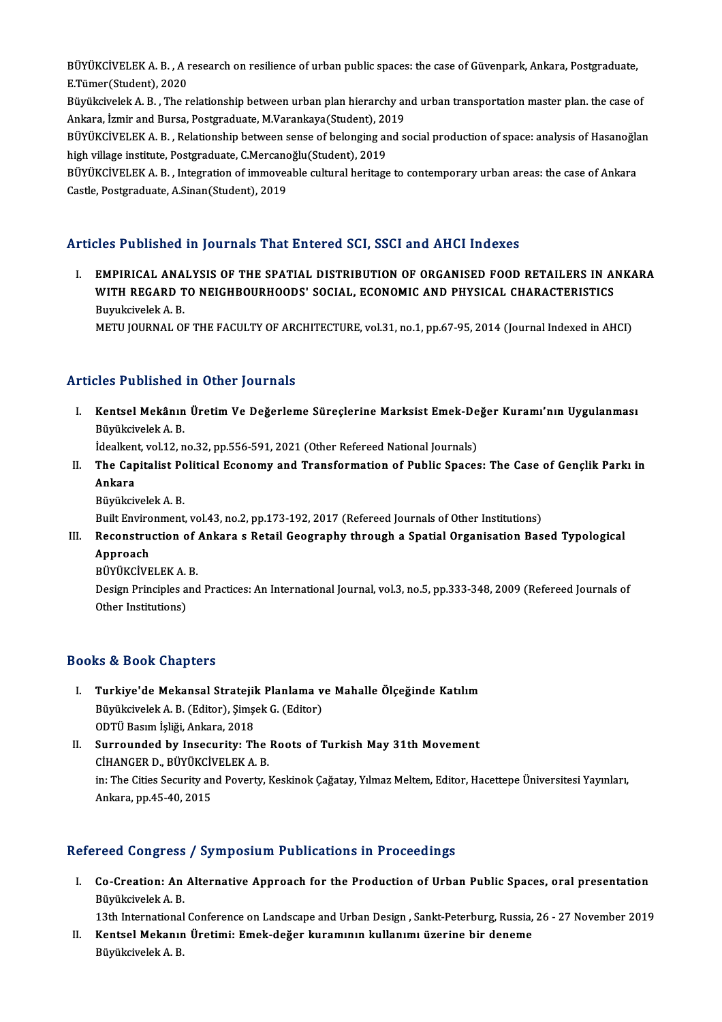BÜYÜKCİVELEK A. B. , A research on resilience of urban public spaces: the case of Güvenpark, Ankara, Postgraduate,<br>E Tümer(Student), 2020 BÜYÜKCİVELEK A. B. , A ı<br>E.Tümer(Student), 2020<br>Büyükçiyelek A. B. . The r BÜYÜKCİVELEK A. B. , A research on resilience of urban public spaces: the case of Güvenpark, Ankara, Postgraduate,<br>E.Tümer(Student), 2020<br>Büyükcivelek A. B. , The relationship between urban plan hierarchy and urban transpo

E.Tümer(Student), 2020<br>Büyükcivelek A. B. , The relationship between urban plan hierarchy an<br>Ankara, İzmir and Bursa, Postgraduate, M.Varankaya(Student), 2019<br>PÜVÜKÇİVELEK A. B., Polationship between sanas of belanging and Büyükcivelek A. B. , The relationship between urban plan hierarchy and urban transportation master plan. the case of<br>Ankara, İzmir and Bursa, Postgraduate, M.Varankaya(Student), 2019<br>BÜYÜKCİVELEK A. B. , Relationship betwe

Ankara, İzmir and Bursa, Postgraduate, M.Varankaya(Student), 20<br>BÜYÜKCİVELEK A. B. , Relationship between sense of belonging ar<br>high village institute, Postgraduate, C.Mercanoğlu(Student), 2019<br>PÜVÜKCİVELEK A. B. - Integra BÜYÜKCİVELEK A. B. , Relationship between sense of belonging and social production of space: analysis of Hasanoğla<br>high village institute, Postgraduate, C.Mercanoğlu(Student), 2019<br>BÜYÜKCİVELEK A. B. , Integration of immov

high village institute, Postgraduate, C.Mercanoğlu(Student), 2019<br>BÜYÜKCİVELEK A. B. , Integration of immoveable cultural heritage to contemporary urban areas: the case of Ankara<br>Castle, Postgraduate, A.Sinan(Student), 201

## Articles Published in Journals That Entered SCI, SSCI and AHCI Indexes

I. EMPIRICAL ANALYSIS OF THE SPATIAL DISTRIBUTION OF ORGANISED FOOD RETAILERS IN ANKARA MOST ASHSHOA IN JOATHAMS THAT ENTOTOA SAT, SSAT AND THIGT INDENES<br>EMPIRICAL ANALYSIS OF THE SPATIAL DISTRIBUTION OF ORGANISED FOOD RETAILERS IN AI<br>WITH REGARD TO NEIGHBOURHOODS' SOCIAL, ECONOMIC AND PHYSICAL CHARACTERISTIC EMPIRICAL ANA<br>WITH REGARD T<br>Buyukcivelek A. B.<br>METU JOUPNAL OI Buyukcivelek A. B.<br>METU JOURNAL OF THE FACULTY OF ARCHITECTURE, vol.31, no.1, pp.67-95, 2014 (Journal Indexed in AHCI)

### Articles Published in Other Journals

rticles Published in Other Journals<br>I. Kentsel Mekânın Üretim Ve Değerleme Süreçlerine Marksist Emek-Değer Kuramı'nın Uygulanması<br>Rüvüksivelek A-P nes 1 asınsınca<br>Kentsel Mekânın<br>Büyükcivelek A. B.<br>İdealkant vel 12. a Kentsel Mekânın Üretim Ve Değerleme Süreçlerine Marksist Emek-De<br>Büyükcivelek A. B.<br>İdealkent, vol.12, no.32, pp.556-591, 2021 (Other Refereed National Journals)<br>The Canitalist Political Feanemy and Transformation of Publi

Büyükcivelek A. B.<br>Idealkent, vol.12, no.32, pp.556-591, 2021 (Other Refereed National Journals)<br>II. The Capitalist Political Economy and Transformation of Public Spaces: The Case of Gençlik Parkı in<br>Ankare Idealkent, vol.12, no.32, pp.556-591, 2021 (Other Refereed National Journals)<br>The Capitalist Political Economy and Transformation of Public Space:<br>Ankara<br>Büyükcivelek A. B. The Capitalist P<mark>c</mark><br>Ankara<br>Büyükcivelek A. B.<br><sup>Built Environment</sup> Ankara<br>Büyükcivelek A. B.<br>Built Environment, vol.43, no.2, pp.173-192, 2017 (Refereed Journals of Other Institutions)<br>Beconstruction of Ankara a Betail Coography through a Spetial Organisation Bec

## Büyükcivelek A. B.<br>Built Environment, vol.43, no.2, pp.173-192, 2017 (Refereed Journals of Other Institutions)<br>III. Reconstruction of Ankara s Retail Geography through a Spatial Organisation Based Typological<br>Annroach Built Enviro<br>Reconstru<br>Approach<br>Püvüvcive Reconstruction of .<br>Approach<br>BÜYÜKCİVELEK A. B.<br>Design Principles and

Approach<br>BÜYÜKCİVELEK A. B.<br>Design Principles and Practices: An International Journal, vol.3, no.5, pp.333-348, 2009 (Refereed Journals of BÜYÜKCİVELEK A.<br>Design Principles a<br>Other Institutions)

## Other Institutions)<br>Books & Book Chapters

- I. Turkiye'de Mekansal Stratejik Planlama ve Mahalle Ölçeğinde Katılım I. C. D. Sook Shaptors<br>Turkiye'de Mekansal Stratejik Planlama v<br>Büyükcivelek A. B. (Editor), Şimşek G. (Editor)<br>ODTÜ Basım İsliği Ankara, 2019 Turkiye'de Mekansal Stratejil<br>Büyükcivelek A. B. (Editor), Şimş<br>ODTÜ Basım İşliği, Ankara, 2018<br>Surrounded bu Insegurity, Th Büyükcivelek A. B. (Editor), Şimşek G. (Editor)<br>ODTÜ Basım İşliği, Ankara, 2018<br>II. Surrounded by Insecurity: The Roots of Turkish May 31th Movement<br>CUANCER D. BÜYÜKÇİVELEK A. B
- ODTÜ Basım İşliği, Ankara, 2018<br>Surrounded by Insecurity: The<br>CİHANGER D., BÜYÜKCİVELEK A. B.<br>in: The Cities Sequrity and Peyerty. I in: The Cities Security and Poverty, Keskinok Çağatay, Yılmaz Meltem, Editor, Hacettepe Üniversitesi Yayınları,<br>Ankara, pp.45-40, 2015 CİHANGER D., BÜYÜKCİVELEK A. B.

### Refereed Congress / Symposium Publications in Proceedings

efereed Congress / Symposium Publications in Proceedings<br>I. Co-Creation: An Alternative Approach for the Production of Urban Public Spaces, oral presentation<br>Rivillaivelak A. B reed congress<br>Co-Creation: An<br>Büyükcivelek A. B.<br>12th International Co-Creation: An Alternative Approach for the Production of Urban Public Spaces, oral presentation<br>Büyükcivelek A. B.<br>13th International Conference on Landscape and Urban Design , Sankt-Peterburg, Russia, 26 - 27 November 2

Büyükcivelek A. B.<br>13th International Conference on Landscape and Urban Design , Sankt-Peterburg, Russia,<br>II. Kentsel Mekanın Üretimi: Emek-değer kuramının kullanımı üzerine bir deneme<br>Püvüksivelek A. P

13th International<br><mark>Kentsel Mekanın</mark><br>Büyükcivelek A. B.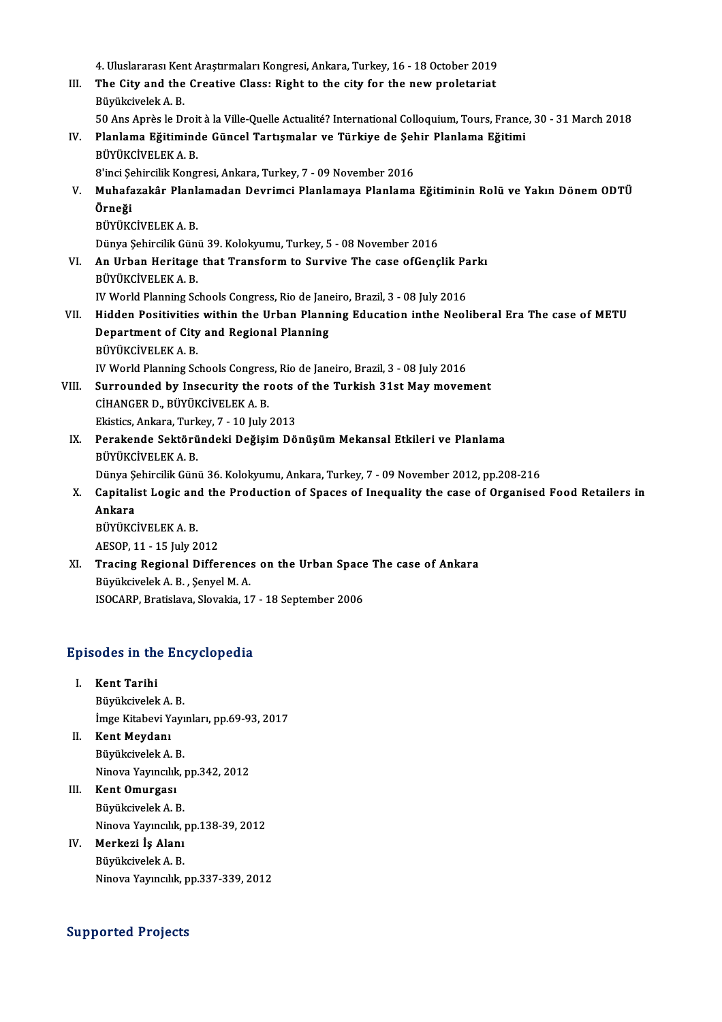|       | 4. Uluslararası Kent Araştırmaları Kongresi, Ankara, Turkey, 16 - 18 October 2019                              |
|-------|----------------------------------------------------------------------------------------------------------------|
| III.  | The City and the Creative Class: Right to the city for the new proletariat                                     |
|       | Büyükcivelek A.B.                                                                                              |
|       | 50 Ans Après le Droit à la Ville-Quelle Actualité? International Colloquium, Tours, France, 30 - 31 March 2018 |
| IV.   | Planlama Eğitiminde Güncel Tartışmalar ve Türkiye de Şehir Planlama Eğitimi<br>BÜYÜKCİVELEK A.B.               |
|       | 8'inci Şehircilik Kongresi, Ankara, Turkey, 7 - 09 November 2016                                               |
| V.    | Muhafazakâr Planlamadan Devrimci Planlamaya Planlama Eğitiminin Rolü ve Yakın Dönem ODTÜ                       |
|       | Örneği                                                                                                         |
|       | BÜYÜKCİVELEK A.B.                                                                                              |
|       | Dünya Şehircilik Günü 39. Kolokyumu, Turkey, 5 - 08 November 2016                                              |
| VI.   | An Urban Heritage that Transform to Survive The case ofGençlik Parkı                                           |
|       | BÜYÜKCİVELEK A B.                                                                                              |
|       | IV World Planning Schools Congress, Rio de Janeiro, Brazil, 3 - 08 July 2016                                   |
| VII.  | Hidden Positivities within the Urban Planning Education inthe Neoliberal Era The case of METU                  |
|       | Department of City and Regional Planning                                                                       |
|       | BÜYÜKCİVELEK A.B.                                                                                              |
|       | IV World Planning Schools Congress, Rio de Janeiro, Brazil, 3 - 08 July 2016                                   |
| VIII. | Surrounded by Insecurity the roots of the Turkish 31st May movement                                            |
|       | CİHANGER D., BÜYÜKCİVELEK A. B.                                                                                |
|       | Ekistics, Ankara, Turkey, 7 - 10 July 2013                                                                     |
| IX.   | Perakende Sektöründeki Değişim Dönüşüm Mekansal Etkileri ve Planlama                                           |
|       | BÜYÜKCİVELEK A.B.                                                                                              |
|       | Dünya Şehircilik Günü 36. Kolokyumu, Ankara, Turkey, 7 - 09 November 2012, pp.208-216                          |
| X.    | Capitalist Logic and the Production of Spaces of Inequality the case of Organised Food Retailers in            |
|       | Ankara                                                                                                         |
|       | BÜYÜKCİVELEK A.B.                                                                                              |
|       | AESOP, 11 - 15 July 2012                                                                                       |
| XI.   | Tracing Regional Differences on the Urban Space The case of Ankara                                             |
|       | Büyükcivelek A. B., Şenyel M. A.                                                                               |

ISOCARP, Bratislava, Slovakia, 17 - 18 September 2006

# ISOCARP, Brausiava, Slovakia, 17<br>Episodes in the Encyclopedia

- pisodes in the<br>I. Kent Tarihi<br>Püvüksivelek I. Kent Tarihi<br>Büyükcivelek A. B. Kent Tarihi<br>Büyükcivelek A. B.<br>İmge Kitabevi Yayınları, pp.69-93, 2017<br>Kant Maudanı
- II. Kent Meydanı<br>Büyükcivelek A. B. İmge Kitabevi Yayı<br>Kent Meydanı<br>Büyükcivelek A. B.<br>Ninova Yayıncılık Kent Meydanı<br>Büyükcivelek A. B.<br>Ninova Yayıncılık, pp.342, 2012<br>Kent Omurgesi
- III. Kent Omurgası<br>Büyükcivelek A. B. Ninova Yayıncılık,<br>**Kent Omurgası<br>Büyükcivelek A. B.**<br>Ninova Yayıncılık Kent Omurgası<br>Büyükcivelek A. B.<br>Ninova Yayıncılık, pp.138-39, 2012<br>Merkeri İs Alanı
- IV. Merkezi İş Alanı Ninova Yayıncılık, <sub>İ</sub><br>Merkezi İş Alanı<br>Büyükcivelek A. B.<br>Ninova Yayıncılık Ninova Yayıncılık, pp.337-339, 2012

### Supported Projects